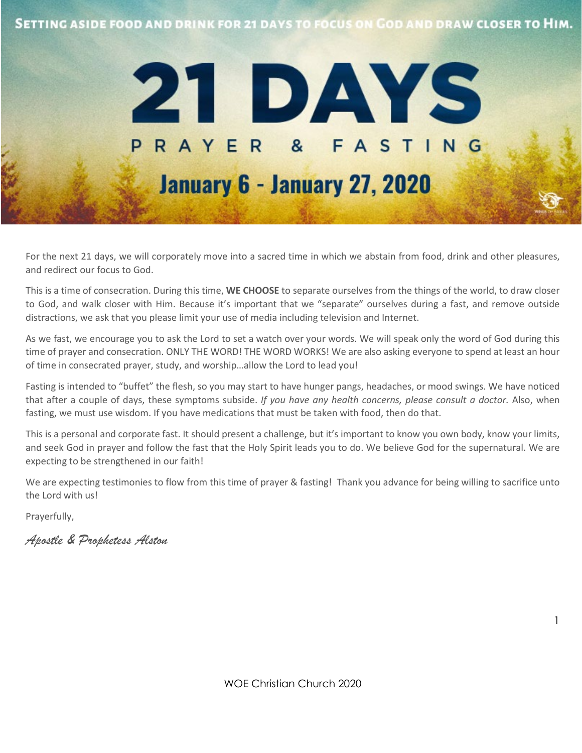



For the next 21 days, we will corporately move into a sacred time in which we abstain from food, drink and other pleasures, and redirect our focus to God.

This is a time of consecration. During this time, **WE CHOOSE** to separate ourselves from the things of the world, to draw closer to God, and walk closer with Him. Because it's important that we "separate" ourselves during a fast, and remove outside distractions, we ask that you please limit your use of media including television and Internet.

As we fast, we encourage you to ask the Lord to set a watch over your words. We will speak only the word of God during this time of prayer and consecration. ONLY THE WORD! THE WORD WORKS! We are also asking everyone to spend at least an hour of time in consecrated prayer, study, and worship…allow the Lord to lead you!

Fasting is intended to "buffet" the flesh, so you may start to have hunger pangs, headaches, or mood swings. We have noticed that after a couple of days, these symptoms subside. *If you have any health concerns, please consult a doctor.* Also, when fasting, we must use wisdom. If you have medications that must be taken with food, then do that.

This is a personal and corporate fast. It should present a challenge, but it's important to know you own body, know your limits, and seek God in prayer and follow the fast that the Holy Spirit leads you to do. We believe God for the supernatural. We are expecting to be strengthened in our faith!

We are expecting testimonies to flow from this time of prayer & fasting! Thank you advance for being willing to sacrifice unto the Lord with us!

Prayerfully,

*Apostle & Prophetess Alston*

WOE Christian Church 2020

1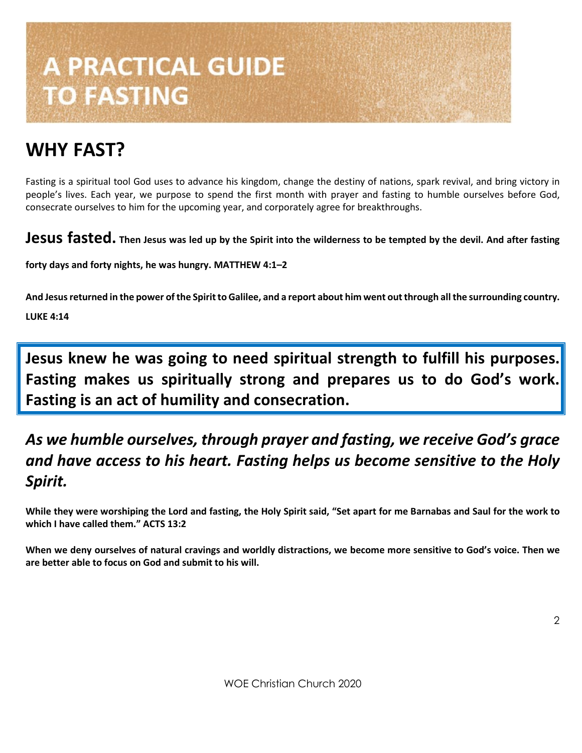# **A PRACTICAL GUIDE TO FASTING**

# **WHY FAST?**

Fasting is a spiritual tool God uses to advance his kingdom, change the destiny of nations, spark revival, and bring victory in people's lives. Each year, we purpose to spend the first month with prayer and fasting to humble ourselves before God, consecrate ourselves to him for the upcoming year, and corporately agree for breakthroughs.

**Jesus fasted. Then Jesus was led up by the Spirit into the wilderness to be tempted by the devil. And after fasting** 

**forty days and forty nights, he was hungry. MATTHEW 4:1–2**

**And Jesus returned in the power of the Spirit to Galilee, and a report about him went outthrough all the surrounding country. LUKE 4:14**

**Jesus knew he was going to need spiritual strength to fulfill his purposes. Fasting makes us spiritually strong and prepares us to do God's work. Fasting is an act of humility and consecration.**

# *As we humble ourselves, through prayer and fasting, we receive God's grace and have access to his heart. Fasting helps us become sensitive to the Holy Spirit.*

**While they were worshiping the Lord and fasting, the Holy Spirit said, "Set apart for me Barnabas and Saul for the work to which I have called them." ACTS 13:2**

**When we deny ourselves of natural cravings and worldly distractions, we become more sensitive to God's voice. Then we are better able to focus on God and submit to his will.**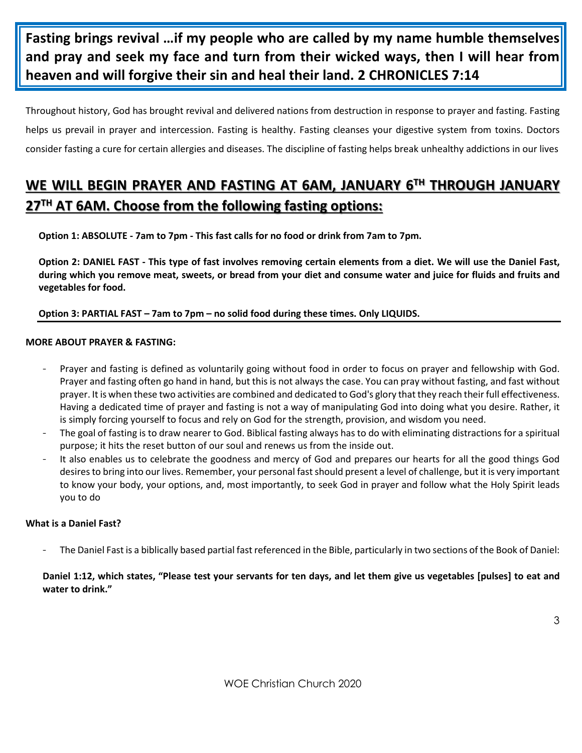**Fasting brings revival …if my people who are called by my name humble themselves and pray and seek my face and turn from their wicked ways, then I will hear from heaven and will forgive their sin and heal their land. 2 CHRONICLES 7:14** 

Throughout history, God has brought revival and delivered nations from destruction in response to prayer and fasting. Fasting helps us prevail in prayer and intercession. Fasting is healthy. Fasting cleanses your digestive system from toxins. Doctors consider fasting a cure for certain allergies and diseases. The discipline of fasting helps break unhealthy addictions in our lives

## **WE WILL BEGIN PRAYER AND FASTING AT 6AM, JANUARY 6TH THROUGH JANUARY 27TH AT 6AM. Choose from the following fasting options:**

**Option 1: ABSOLUTE - 7am to 7pm - This fast calls for no food or drink from 7am to 7pm.** 

**Option 2: DANIEL FAST - This type of fast involves removing certain elements from a diet. We will use the Daniel Fast, during which you remove meat, sweets, or bread from your diet and consume water and juice for fluids and fruits and vegetables for food.**

#### **Option 3: PARTIAL FAST – 7am to 7pm – no solid food during these times. Only LIQUIDS.**

#### **MORE ABOUT PRAYER & FASTING:**

- Prayer and fasting is defined as voluntarily going without food in order to focus on prayer and fellowship with God. Prayer and fasting often go hand in hand, but this is not always the case. You can pray without fasting, and fast without prayer. It is when these two activities are combined and dedicated to God's glory that they reach their full effectiveness. Having a dedicated time of prayer and fasting is not a way of manipulating God into doing what you desire. Rather, it is simply forcing yourself to focus and rely on God for the strength, provision, and wisdom you need.
- The goal of fasting is to draw nearer to God. Biblical fasting always has to do with eliminating distractions for a spiritual purpose; it hits the reset button of our soul and renews us from the inside out.
- It also enables us to celebrate the goodness and mercy of God and prepares our hearts for all the good things God desires to bring into our lives. Remember, your personal fast should present a level of challenge, but it is very important to know your body, your options, and, most importantly, to seek God in prayer and follow what the Holy Spirit leads you to do

#### **What is a Daniel Fast?**

- The Daniel Fast is a biblically based partial fast referenced in the Bible, particularly in two sections of the Book of Daniel:

#### **Daniel 1:12, which states, "Please test your servants for ten days, and let them give us vegetables [pulses] to eat and water to drink."**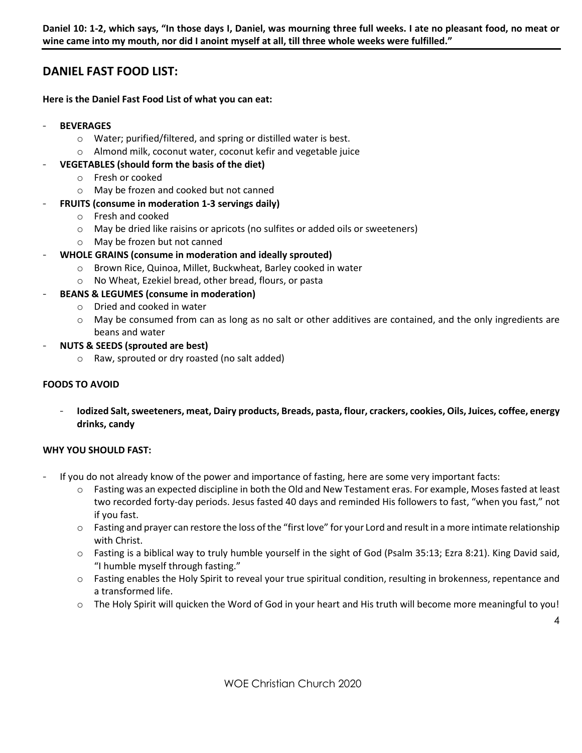**Daniel 10: 1-2, which says, "In those days I, Daniel, was mourning three full weeks. I ate no pleasant food, no meat or wine came into my mouth, nor did I anoint myself at all, till three whole weeks were fulfilled."**

#### **DANIEL FAST FOOD LIST:**

#### **Here is the Daniel Fast Food List of what you can eat:**

- **BEVERAGES**
	- o Water; purified/filtered, and spring or distilled water is best.
	- o Almond milk, coconut water, coconut kefir and vegetable juice

#### - **VEGETABLES (should form the basis of the diet)**

- o Fresh or cooked
- o May be frozen and cooked but not canned
- **FRUITS (consume in moderation 1-3 servings daily)**
	- o Fresh and cooked
	- o May be dried like raisins or apricots (no sulfites or added oils or sweeteners)
	- o May be frozen but not canned

#### - **WHOLE GRAINS (consume in moderation and ideally sprouted)**

- o Brown Rice, Quinoa, Millet, Buckwheat, Barley cooked in water
- o No Wheat, Ezekiel bread, other bread, flours, or pasta

#### - **BEANS & LEGUMES (consume in moderation)**

- o Dried and cooked in water
- o May be consumed from can as long as no salt or other additives are contained, and the only ingredients are beans and water
- **NUTS & SEEDS (sprouted are best)**
	- o Raw, sprouted or dry roasted (no salt added)

#### **FOODS TO AVOID**

- **Iodized Salt, sweeteners, meat, Dairy products, Breads, pasta, flour, crackers, cookies, Oils, Juices, coffee, energy drinks, candy** 

#### **WHY YOU SHOULD FAST:**

- If you do not already know of the power and importance of fasting, here are some very important facts:
	- o Fasting was an expected discipline in both the Old and New Testament eras. For example, Moses fasted at least two recorded forty-day periods. Jesus fasted 40 days and reminded His followers to fast, "when you fast," not if you fast.
	- o Fasting and prayer can restore the loss of the "first love" for your Lord and result in a more intimate relationship with Christ.
	- o Fasting is a biblical way to truly humble yourself in the sight of God (Psalm 35:13; Ezra 8:21). King David said, "I humble myself through fasting."
	- o Fasting enables the Holy Spirit to reveal your true spiritual condition, resulting in brokenness, repentance and a transformed life.
	- o The Holy Spirit will quicken the Word of God in your heart and His truth will become more meaningful to you!

4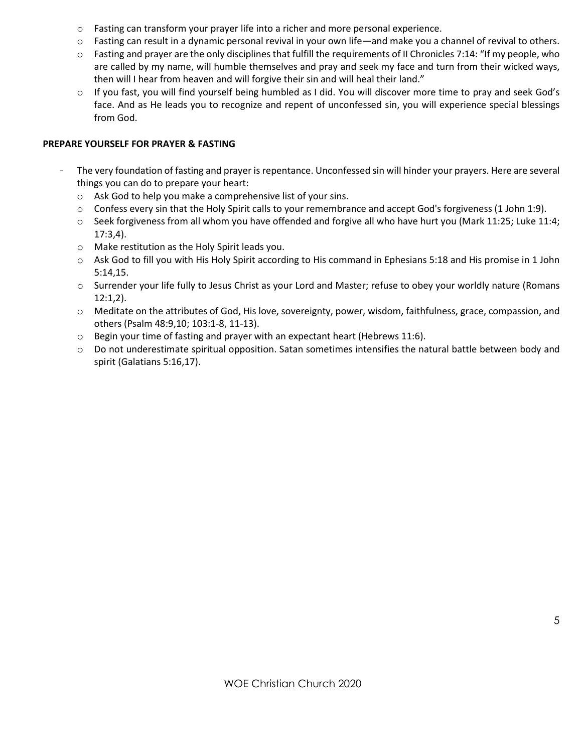- o Fasting can transform your prayer life into a richer and more personal experience.
- $\circ$  Fasting can result in a dynamic personal revival in your own life—and make you a channel of revival to others.
- $\circ$  Fasting and prayer are the only disciplines that fulfill the requirements of II Chronicles 7:14: "If my people, who are called by my name, will humble themselves and pray and seek my face and turn from their wicked ways, then will I hear from heaven and will forgive their sin and will heal their land."
- If you fast, you will find yourself being humbled as I did. You will discover more time to pray and seek God's face. And as He leads you to recognize and repent of unconfessed sin, you will experience special blessings from God.

#### **PREPARE YOURSELF FOR PRAYER & FASTING**

- The very foundation of fasting and prayer is repentance. Unconfessed sin will hinder your prayers. Here are several things you can do to prepare your heart:
	- o Ask God to help you make a comprehensive list of your sins.
	- o Confess every sin that the Holy Spirit calls to your remembrance and accept God's forgiveness (1 John 1:9).
	- $\circ$  Seek forgiveness from all whom you have offended and forgive all who have hurt you (Mark 11:25; Luke 11:4; 17:3,4).
	- o Make restitution as the Holy Spirit leads you.
	- o Ask God to fill you with His Holy Spirit according to His command in Ephesians 5:18 and His promise in 1 John 5:14,15.
	- o Surrender your life fully to Jesus Christ as your Lord and Master; refuse to obey your worldly nature (Romans 12:1,2).
	- o Meditate on the attributes of God, His love, sovereignty, power, wisdom, faithfulness, grace, compassion, and others (Psalm 48:9,10; 103:1-8, 11-13).
	- $\circ$  Begin your time of fasting and prayer with an expectant heart (Hebrews 11:6).
	- $\circ$  Do not underestimate spiritual opposition. Satan sometimes intensifies the natural battle between body and spirit (Galatians 5:16,17).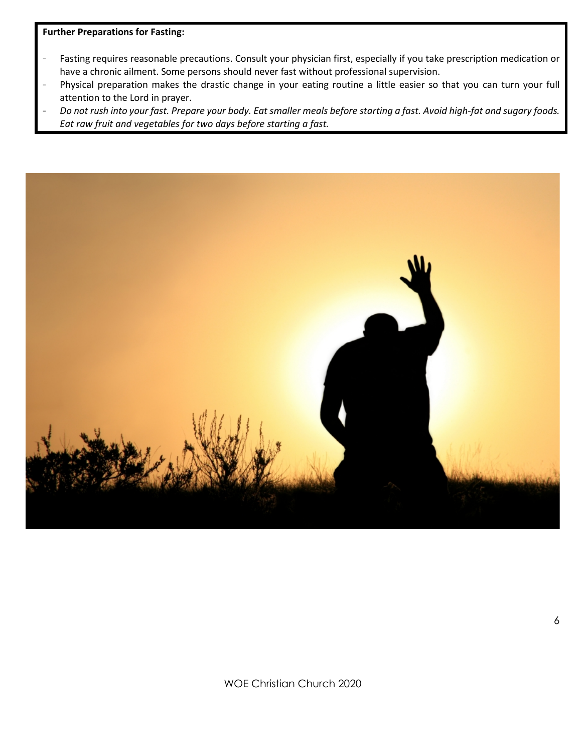#### **Further Preparations for Fasting:**

- Fasting requires reasonable precautions. Consult your physician first, especially if you take prescription medication or have a chronic ailment. Some persons should never fast without professional supervision.
- Physical preparation makes the drastic change in your eating routine a little easier so that you can turn your full attention to the Lord in prayer.
- *Do not rush into your fast. Prepare your body. Eat smaller meals before starting a fast. Avoid high-fat and sugary foods. Eat raw fruit and vegetables for two days before starting a fast.*

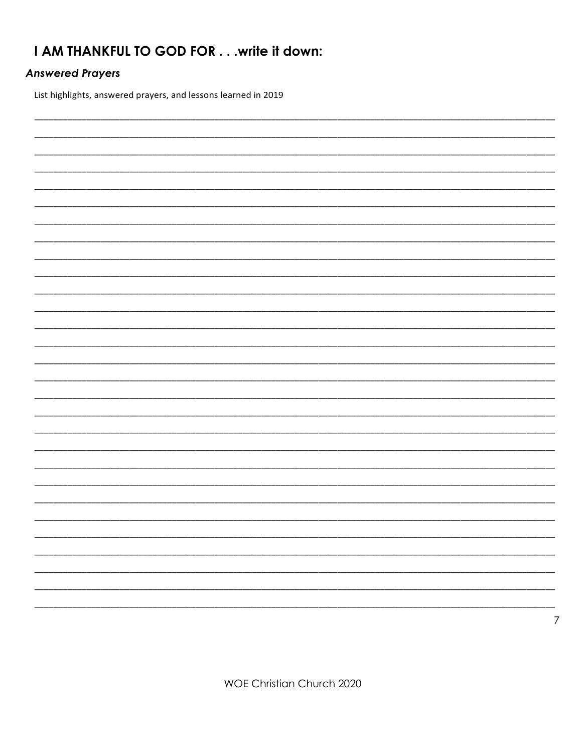### I AM THANKFUL TO GOD FOR . . . write it down:

#### **Answered Prayers**

List highlights, answered prayers, and lessons learned in 2019



**WOE Christian Church 2020**